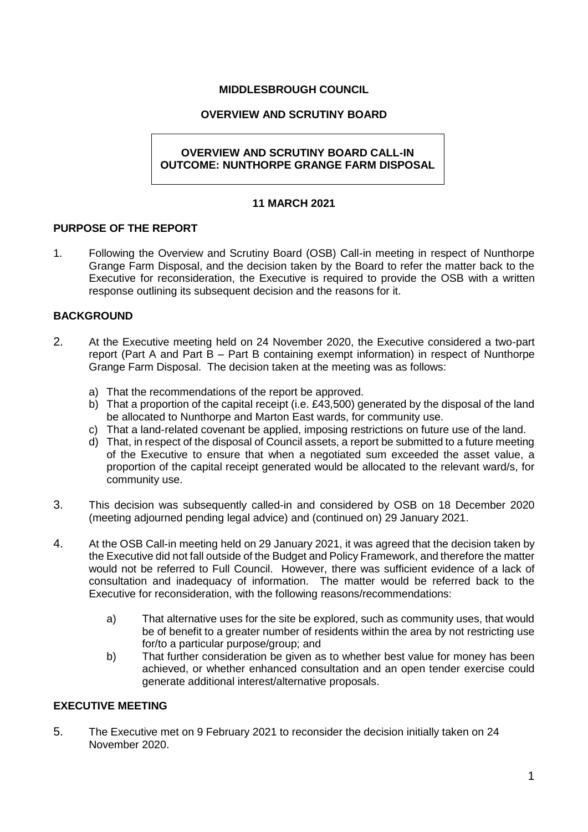# **MIDDLESBROUGH COUNCIL**

# **OVERVIEW AND SCRUTINY BOARD**

# **OVERVIEW AND SCRUTINY BOARD CALL-IN OUTCOME: NUNTHORPE GRANGE FARM DISPOSAL**

# **11 MARCH 2021**

## **PURPOSE OF THE REPORT**

1. Following the Overview and Scrutiny Board (OSB) Call-in meeting in respect of Nunthorpe Grange Farm Disposal, and the decision taken by the Board to refer the matter back to the Executive for reconsideration, the Executive is required to provide the OSB with a written response outlining its subsequent decision and the reasons for it.

### **BACKGROUND**

- 2. At the Executive meeting held on 24 November 2020, the Executive considered a two-part report (Part A and Part B – Part B containing exempt information) in respect of Nunthorpe Grange Farm Disposal. The decision taken at the meeting was as follows:
	- a) That the recommendations of the report be approved.
	- b) That a proportion of the capital receipt (i.e. £43,500) generated by the disposal of the land be allocated to Nunthorpe and Marton East wards, for community use.
	- c) That a land-related covenant be applied, imposing restrictions on future use of the land.
	- d) That, in respect of the disposal of Council assets, a report be submitted to a future meeting of the Executive to ensure that when a negotiated sum exceeded the asset value, a proportion of the capital receipt generated would be allocated to the relevant ward/s, for community use.
- 3. This decision was subsequently called-in and considered by OSB on 18 December 2020 (meeting adjourned pending legal advice) and (continued on) 29 January 2021.
- 4. At the OSB Call-in meeting held on 29 January 2021, it was agreed that the decision taken by the Executive did not fall outside of the Budget and Policy Framework, and therefore the matter would not be referred to Full Council. However, there was sufficient evidence of a lack of consultation and inadequacy of information. The matter would be referred back to the Executive for reconsideration, with the following reasons/recommendations:
	- a) That alternative uses for the site be explored, such as community uses, that would be of benefit to a greater number of residents within the area by not restricting use for/to a particular purpose/group; and
	- b) That further consideration be given as to whether best value for money has been achieved, or whether enhanced consultation and an open tender exercise could generate additional interest/alternative proposals.

## **EXECUTIVE MEETING**

5. The Executive met on 9 February 2021 to reconsider the decision initially taken on 24 November 2020.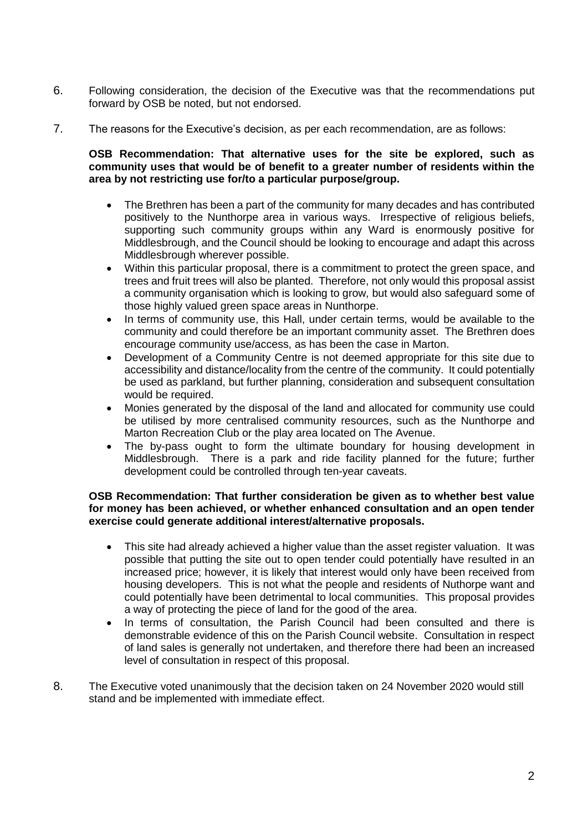- 6. Following consideration, the decision of the Executive was that the recommendations put forward by OSB be noted, but not endorsed.
- 7. The reasons for the Executive's decision, as per each recommendation, are as follows:

### **OSB Recommendation: That alternative uses for the site be explored, such as community uses that would be of benefit to a greater number of residents within the area by not restricting use for/to a particular purpose/group.**

- The Brethren has been a part of the community for many decades and has contributed positively to the Nunthorpe area in various ways. Irrespective of religious beliefs, supporting such community groups within any Ward is enormously positive for Middlesbrough, and the Council should be looking to encourage and adapt this across Middlesbrough wherever possible.
- Within this particular proposal, there is a commitment to protect the green space, and trees and fruit trees will also be planted. Therefore, not only would this proposal assist a community organisation which is looking to grow, but would also safeguard some of those highly valued green space areas in Nunthorpe.
- In terms of community use, this Hall, under certain terms, would be available to the community and could therefore be an important community asset. The Brethren does encourage community use/access, as has been the case in Marton.
- Development of a Community Centre is not deemed appropriate for this site due to accessibility and distance/locality from the centre of the community. It could potentially be used as parkland, but further planning, consideration and subsequent consultation would be required.
- Monies generated by the disposal of the land and allocated for community use could be utilised by more centralised community resources, such as the Nunthorpe and Marton Recreation Club or the play area located on The Avenue.
- The by-pass ought to form the ultimate boundary for housing development in Middlesbrough. There is a park and ride facility planned for the future; further development could be controlled through ten-year caveats.

#### **OSB Recommendation: That further consideration be given as to whether best value for money has been achieved, or whether enhanced consultation and an open tender exercise could generate additional interest/alternative proposals.**

- This site had already achieved a higher value than the asset register valuation. It was possible that putting the site out to open tender could potentially have resulted in an increased price; however, it is likely that interest would only have been received from housing developers. This is not what the people and residents of Nuthorpe want and could potentially have been detrimental to local communities. This proposal provides a way of protecting the piece of land for the good of the area.
- In terms of consultation, the Parish Council had been consulted and there is demonstrable evidence of this on the Parish Council website. Consultation in respect of land sales is generally not undertaken, and therefore there had been an increased level of consultation in respect of this proposal.
- 8. The Executive voted unanimously that the decision taken on 24 November 2020 would still stand and be implemented with immediate effect.